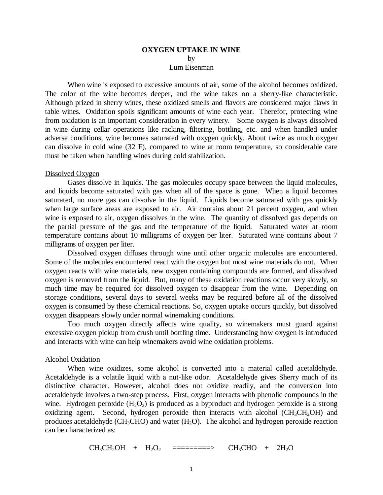## **OXYGEN UPTAKE IN WINE** by Lum Eisenman

 When wine is exposed to excessive amounts of air, some of the alcohol becomes oxidized. The color of the wine becomes deeper, and the wine takes on a sherry-like characteristic. Although prized in sherry wines, these oxidized smells and flavors are considered major flaws in table wines. Oxidation spoils significant amounts of wine each year. Therefor, protecting wine from oxidation is an important consideration in every winery. Some oxygen is always dissolved in wine during cellar operations like racking, filtering, bottling, etc. and when handled under adverse conditions, wine becomes saturated with oxygen quickly. About twice as much oxygen can dissolve in cold wine (32 F), compared to wine at room temperature, so considerable care must be taken when handling wines during cold stabilization.

#### Dissolved Oxygen

Gases dissolve in liquids. The gas molecules occupy space between the liquid molecules, and liquids become saturated with gas when all of the space is gone. When a liquid becomes saturated, no more gas can dissolve in the liquid. Liquids become saturated with gas quickly when large surface areas are exposed to air. Air contains about 21 percent oxygen, and when wine is exposed to air, oxygen dissolves in the wine. The quantity of dissolved gas depends on the partial pressure of the gas and the temperature of the liquid. Saturated water at room temperature contains about 10 milligrams of oxygen per liter. Saturated wine contains about 7 milligrams of oxygen per liter.

Dissolved oxygen diffuses through wine until other organic molecules are encountered. Some of the molecules encountered react with the oxygen but most wine materials do not. When oxygen reacts with wine materials, new oxygen containing compounds are formed, and dissolved oxygen is removed from the liquid. But, many of these oxidation reactions occur very slowly, so much time may be required for dissolved oxygen to disappear from the wine. Depending on storage conditions, several days to several weeks may be required before all of the dissolved oxygen is consumed by these chemical reactions. So, oxygen uptake occurs quickly, but dissolved oxygen disappears slowly under normal winemaking conditions.

Too much oxygen directly affects wine quality, so winemakers must guard against excessive oxygen pickup from crush until bottling time. Understanding how oxygen is introduced and interacts with wine can help winemakers avoid wine oxidation problems.

#### Alcohol Oxidation

When wine oxidizes, some alcohol is converted into a material called acetaldehyde. Acetaldehyde is a volatile liquid with a nut-like odor. Acetaldehyde gives Sherry much of its distinctive character. However, alcohol does not oxidize readily, and the conversion into acetaldehyde involves a two-step process. First, oxygen interacts with phenolic compounds in the wine. Hydrogen peroxide  $(H_2O_2)$  is produced as a byproduct and hydrogen peroxide is a strong oxidizing agent. Second, hydrogen peroxide then interacts with alcohol  $(CH_3CH_2OH)$  and produces acetaldehyde (CH<sub>3</sub>CHO) and water  $(H_2O)$ . The alcohol and hydrogen peroxide reaction can be characterized as:

 $CH_3CH_2OH + H_2O_2$  =========>  $CH_3CHO + 2H_2O$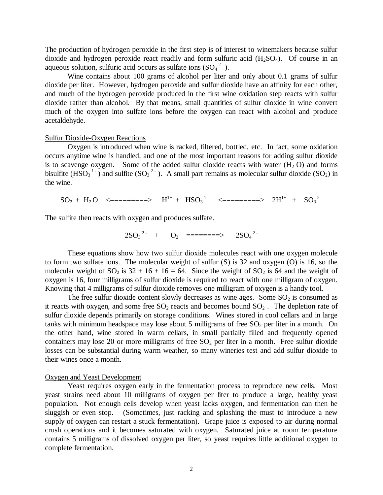The production of hydrogen peroxide in the first step is of interest to winemakers because sulfur dioxide and hydrogen peroxide react readily and form sulfuric acid  $(H_2SO_4)$ . Of course in an aqueous solution, sulfuric acid occurs as sulfate ions  $(SO<sub>4</sub><sup>2</sup>)$ .

Wine contains about 100 grams of alcohol per liter and only about 0.1 grams of sulfur dioxide per liter. However, hydrogen peroxide and sulfur dioxide have an affinity for each other, and much of the hydrogen peroxide produced in the first wine oxidation step reacts with sulfur dioxide rather than alcohol. By that means, small quantities of sulfur dioxide in wine convert much of the oxygen into sulfate ions before the oxygen can react with alcohol and produce acetaldehyde.

### Sulfur Dioxide-Oxygen Reactions

Oxygen is introduced when wine is racked, filtered, bottled, etc. In fact, some oxidation occurs anytime wine is handled, and one of the most important reasons for adding sulfur dioxide is to scavenge oxygen. Some of the added sulfur dioxide reacts with water  $(H_2 O)$  and forms bisulfite (HSO<sub>3</sub><sup>1-</sup>) and sulfite (SO<sub>3</sub><sup>2-</sup>). A small part remains as molecular sulfur dioxide (SO<sub>2</sub>) in the wine.

 $SO_2 + H_2O$  <========>  $H^{1+} + HSO_3^{-1-}$  <========>  $2H^{1+} + SO_3^{-2-}$ 

The sulfite then reacts with oxygen and produces sulfate.

$$
2SO_3^2 + O_2 = = = = = = \implies 2SO_4^2
$$

These equations show how two sulfur dioxide molecules react with one oxygen molecule to form two sulfate ions. The molecular weight of sulfur (S) is 32 and oxygen (O) is 16, so the molecular weight of  $SO_2$  is  $32 + 16 + 16 = 64$ . Since the weight of  $SO_2$  is 64 and the weight of oxygen is 16, four milligrams of sulfur dioxide is required to react with one milligram of oxygen. Knowing that 4 milligrams of sulfur dioxide removes one milligram of oxygen is a handy tool.

The free sulfur dioxide content slowly decreases as wine ages. Some  $SO_2$  is consumed as it reacts with oxygen, and some free  $SO_2$  reacts and becomes bound  $SO_2$ . The depletion rate of sulfur dioxide depends primarily on storage conditions. Wines stored in cool cellars and in large tanks with minimum headspace may lose about 5 milligrams of free  $SO<sub>2</sub>$  per liter in a month. On the other hand, wine stored in warm cellars, in small partially filled and frequently opened containers may lose 20 or more milligrams of free  $SO<sub>2</sub>$  per liter in a month. Free sulfur dioxide losses can be substantial during warm weather, so many wineries test and add sulfur dioxide to their wines once a month.

# Oxygen and Yeast Development

Yeast requires oxygen early in the fermentation process to reproduce new cells. Most yeast strains need about 10 milligrams of oxygen per liter to produce a large, healthy yeast population. Not enough cells develop when yeast lacks oxygen, and fermentation can then be sluggish or even stop. (Sometimes, just racking and splashing the must to introduce a new supply of oxygen can restart a stuck fermentation). Grape juice is exposed to air during normal crush operations and it becomes saturated with oxygen. Saturated juice at room temperature contains 5 milligrams of dissolved oxygen per liter, so yeast requires little additional oxygen to complete fermentation.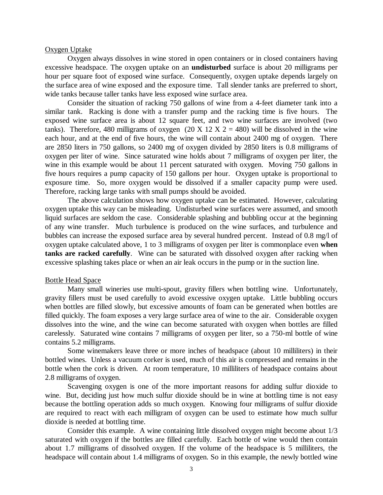### Oxygen Uptake

Oxygen always dissolves in wine stored in open containers or in closed containers having excessive headspace. The oxygen uptake on an **undisturbed** surface is about 20 milligrams per hour per square foot of exposed wine surface. Consequently, oxygen uptake depends largely on the surface area of wine exposed and the exposure time. Tall slender tanks are preferred to short, wide tanks because taller tanks have less exposed wine surface area.

Consider the situation of racking 750 gallons of wine from a 4-feet diameter tank into a similar tank. Racking is done with a transfer pump and the racking time is five hours. The exposed wine surface area is about 12 square feet, and two wine surfaces are involved (two tanks). Therefore, 480 milligrams of oxygen (20 X 12 X 2 = 480) will be dissolved in the wine each hour, and at the end of five hours, the wine will contain about 2400 mg of oxygen. There are 2850 liters in 750 gallons, so 2400 mg of oxygen divided by 2850 liters is 0.8 milligrams of oxygen per liter of wine. Since saturated wine holds about 7 milligrams of oxygen per liter, the wine in this example would be about 11 percent saturated with oxygen. Moving 750 gallons in five hours requires a pump capacity of 150 gallons per hour. Oxygen uptake is proportional to exposure time. So, more oxygen would be dissolved if a smaller capacity pump were used. Therefore, racking large tanks with small pumps should be avoided.

The above calculation shows how oxygen uptake can be estimated. However, calculating oxygen uptake this way can be misleading. Undisturbed wine surfaces were assumed, and smooth liquid surfaces are seldom the case. Considerable splashing and bubbling occur at the beginning of any wine transfer. Much turbulence is produced on the wine surfaces, and turbulence and bubbles can increase the exposed surface area by several hundred percent. Instead of 0.8 mg/l of oxygen uptake calculated above, 1 to 3 milligrams of oxygen per liter is commonplace even **when tanks are racked carefully**. Wine can be saturated with dissolved oxygen after racking when excessive splashing takes place or when an air leak occurs in the pump or in the suction line.

#### Bottle Head Space

Many small wineries use multi-spout, gravity fillers when bottling wine. Unfortunately, gravity fillers must be used carefully to avoid excessive oxygen uptake. Little bubbling occurs when bottles are filled slowly, but excessive amounts of foam can be generated when bottles are filled quickly. The foam exposes a very large surface area of wine to the air. Considerable oxygen dissolves into the wine, and the wine can become saturated with oxygen when bottles are filled carelessly. Saturated wine contains 7 milligrams of oxygen per liter, so a 750-ml bottle of wine contains 5.2 milligrams.

Some winemakers leave three or more inches of headspace (about 10 milliliters) in their bottled wines. Unless a vacuum corker is used, much of this air is compressed and remains in the bottle when the cork is driven. At room temperature, 10 milliliters of headspace contains about 2.8 milligrams of oxygen.

Scavenging oxygen is one of the more important reasons for adding sulfur dioxide to wine. But, deciding just how much sulfur dioxide should be in wine at bottling time is not easy because the bottling operation adds so much oxygen. Knowing four milligrams of sulfur dioxide are required to react with each milligram of oxygen can be used to estimate how much sulfur dioxide is needed at bottling time.

Consider this example. A wine containing little dissolved oxygen might become about 1/3 saturated with oxygen if the bottles are filled carefully. Each bottle of wine would then contain about 1.7 milligrams of dissolved oxygen. If the volume of the headspace is 5 milliliters, the headspace will contain about 1.4 milligrams of oxygen. So in this example, the newly bottled wine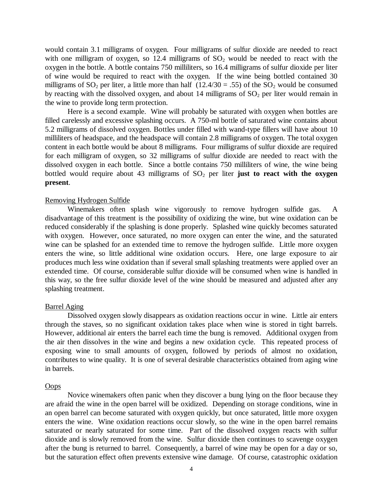would contain 3.1 milligrams of oxygen. Four milligrams of sulfur dioxide are needed to react with one milligram of oxygen, so 12.4 milligrams of  $SO_2$  would be needed to react with the oxygen in the bottle. A bottle contains 750 milliliters, so 16.4 milligrams of sulfur dioxide per liter of wine would be required to react with the oxygen. If the wine being bottled contained 30 milligrams of  $SO_2$  per liter, a little more than half (12.4/30 = .55) of the  $SO_2$  would be consumed by reacting with the dissolved oxygen, and about 14 milligrams of  $SO<sub>2</sub>$  per liter would remain in the wine to provide long term protection.

Here is a second example. Wine will probably be saturated with oxygen when bottles are filled carelessly and excessive splashing occurs. A 750-ml bottle of saturated wine contains about 5.2 milligrams of dissolved oxygen. Bottles under filled with wand-type fillers will have about 10 milliliters of headspace, and the headspace will contain 2.8 milligrams of oxygen. The total oxygen content in each bottle would be about 8 milligrams. Four milligrams of sulfur dioxide are required for each milligram of oxygen, so 32 milligrams of sulfur dioxide are needed to react with the dissolved oxygen in each bottle. Since a bottle contains 750 milliliters of wine, the wine being bottled would require about 43 milligrams of  $SO_2$  per liter **just to react with the oxygen present**.

## Removing Hydrogen Sulfide

Winemakers often splash wine vigorously to remove hydrogen sulfide gas. A disadvantage of this treatment is the possibility of oxidizing the wine, but wine oxidation can be reduced considerably if the splashing is done properly. Splashed wine quickly becomes saturated with oxygen. However, once saturated, no more oxygen can enter the wine, and the saturated wine can be splashed for an extended time to remove the hydrogen sulfide. Little more oxygen enters the wine, so little additional wine oxidation occurs. Here, one large exposure to air produces much less wine oxidation than if several small splashing treatments were applied over an extended time. Of course, considerable sulfur dioxide will be consumed when wine is handled in this way, so the free sulfur dioxide level of the wine should be measured and adjusted after any splashing treatment.

## Barrel Aging

Dissolved oxygen slowly disappears as oxidation reactions occur in wine. Little air enters through the staves, so no significant oxidation takes place when wine is stored in tight barrels. However, additional air enters the barrel each time the bung is removed. Additional oxygen from the air then dissolves in the wine and begins a new oxidation cycle. This repeated process of exposing wine to small amounts of oxygen, followed by periods of almost no oxidation, contributes to wine quality. It is one of several desirable characteristics obtained from aging wine in barrels.

## Oops

Novice winemakers often panic when they discover a bung lying on the floor because they are afraid the wine in the open barrel will be oxidized. Depending on storage conditions, wine in an open barrel can become saturated with oxygen quickly, but once saturated, little more oxygen enters the wine. Wine oxidation reactions occur slowly, so the wine in the open barrel remains saturated or nearly saturated for some time. Part of the dissolved oxygen reacts with sulfur dioxide and is slowly removed from the wine. Sulfur dioxide then continues to scavenge oxygen after the bung is returned to barrel. Consequently, a barrel of wine may be open for a day or so, but the saturation effect often prevents extensive wine damage. Of course, catastrophic oxidation